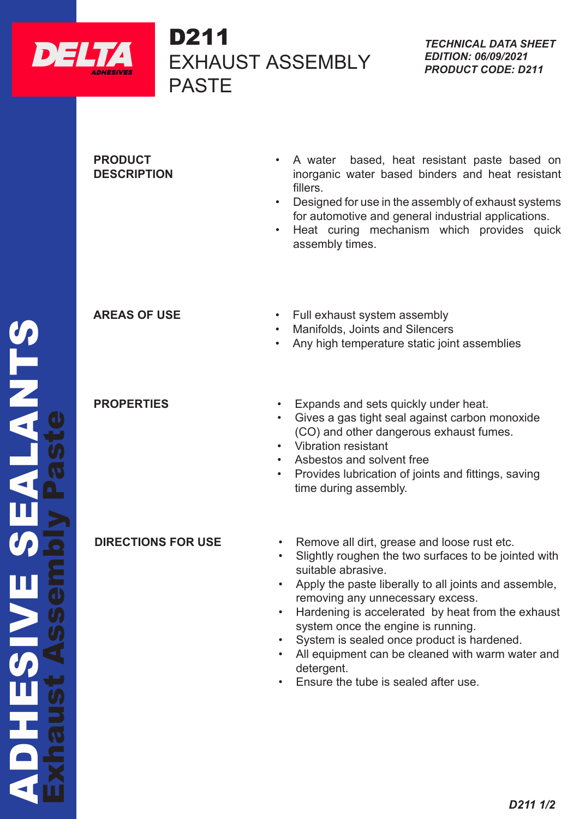

# D211 EXHAUST ASSEMBLY PASTE  $D211$

## **PRODUCT DESCRIPTION**

- A water based, heat resistant paste based on inorganic water based binders and heat resistant fillers.
- Designed for use in the assembly of exhaust systems for automotive and general industrial applications.
- Heat curing mechanism which provides quick assembly times.

- **AREAS OF USE** Full exhaust system assembly
	- Manifolds, Joints and Silencers
	- Any high temperature static joint assemblies

- **PROPERTIES** Expands and sets quickly under heat.
	- Gives a gas tight seal against carbon monoxide (CO) and other dangerous exhaust fumes.
	- Vibration resistant
	- Asbestos and solvent free
	- Provides lubrication of joints and fittings, saving time during assembly.

- **DIRECTIONS FOR USE** Remove all dirt, grease and loose rust etc.
	- Slightly roughen the two surfaces to be jointed with suitable abrasive.
	- Apply the paste liberally to all joints and assemble, removing any unnecessary excess.
	- Hardening is accelerated by heat from the exhaust system once the engine is running.
	- System is sealed once product is hardened.
	- All equipment can be cleaned with warm water and detergent.
	- Ensure the tube is sealed after use.